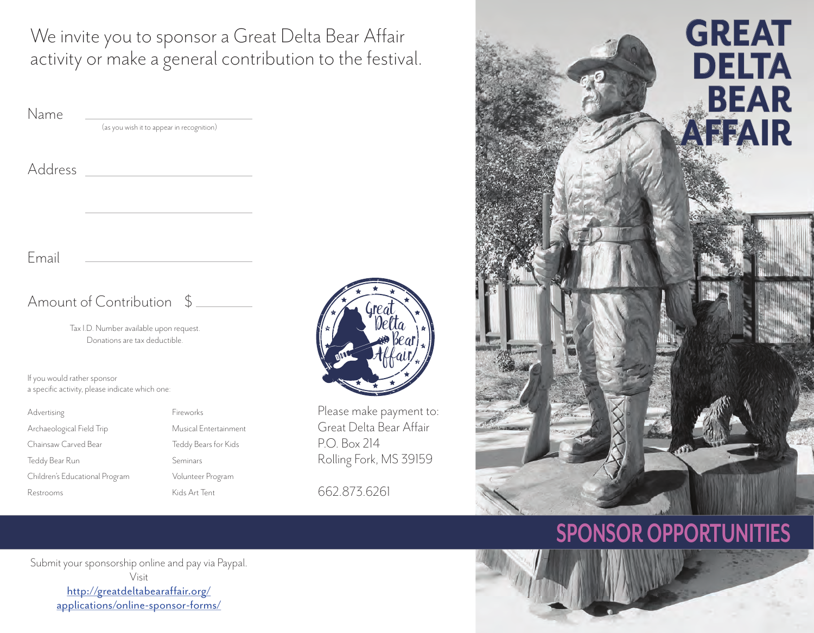We invite you to sponsor a Great Delta Bear Affair activity or make a general contribution to the festival.

| Name                                                                           |                                                                          |          |
|--------------------------------------------------------------------------------|--------------------------------------------------------------------------|----------|
|                                                                                | (as you wish it to appear in recognition)                                |          |
| Address                                                                        |                                                                          |          |
|                                                                                |                                                                          |          |
| Email                                                                          |                                                                          |          |
|                                                                                | Amount of Contribution $\frac{1}{2}$                                     |          |
|                                                                                | Tax I.D. Number available upon request.<br>Donations are tax deductible. | MILL     |
| If you would rather sponsor<br>a specific activity, please indicate which one: |                                                                          |          |
| Advertising                                                                    | Fireworks                                                                | Please m |
| Archaeological Field Trip                                                      | Musical Entertainment                                                    | Great De |
| Chainsaw Carved Bear                                                           | Teddy Bears for Kids                                                     | P.O. Box |

Teddy Bear Run Seminars Children's Educational Program Volunteer Program Restrooms Kids Art Tent



nake payment to: elta Bear Affair  $214$ Rolling Fork, MS 39159

662.873.6261



# **SPONSOR OPPORTUNITIES**

Submit your sponsorship online and pay via Paypal. Visit http://greatdeltabearaffair.org/ applications/online-sponsor-forms/